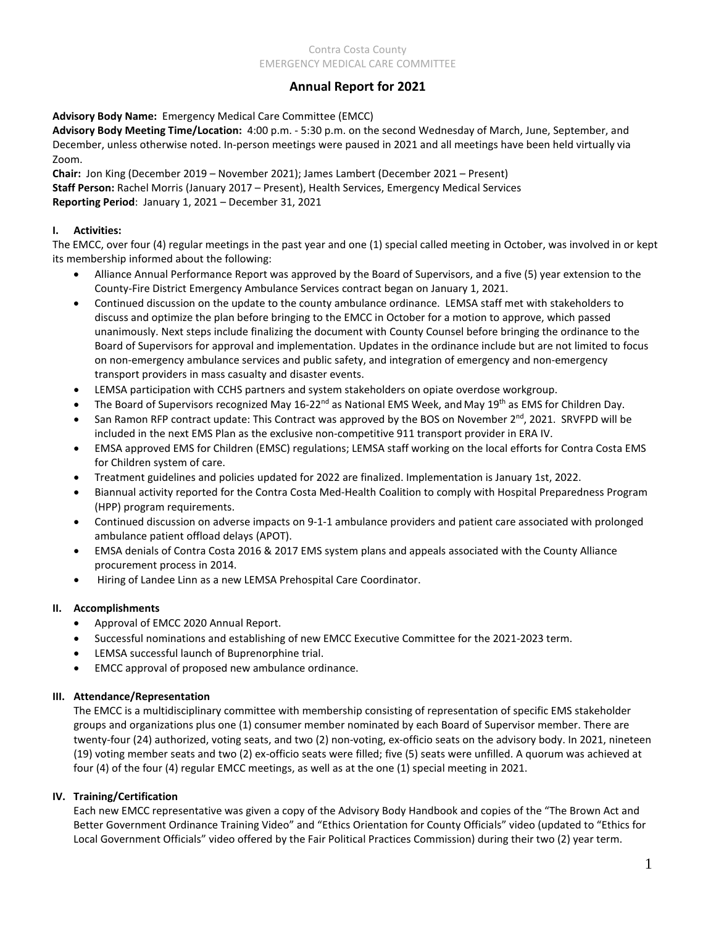# **Annual Report for 2021**

## **Advisory Body Name:** Emergency Medical Care Committee (EMCC)

**Advisory Body Meeting Time/Location:** 4:00 p.m. - 5:30 p.m. on the second Wednesday of March, June, September, and December, unless otherwise noted. In-person meetings were paused in 2021 and all meetings have been held virtually via Zoom.

**Chair:** Jon King (December 2019 – November 2021); James Lambert (December 2021 – Present) **Staff Person:** Rachel Morris (January 2017 – Present), Health Services, Emergency Medical Services **Reporting Period**: January 1, 2021 – December 31, 2021

### **I. Activities:**

The EMCC, over four (4) regular meetings in the past year and one (1) special called meeting in October, was involved in or kept its membership informed about the following:

- Alliance Annual Performance Report was approved by the Board of Supervisors, and a five (5) year extension to the County-Fire District Emergency Ambulance Services contract began on January 1, 2021.
- Continued discussion on the update to the county ambulance ordinance. LEMSA staff met with stakeholders to discuss and optimize the plan before bringing to the EMCC in October for a motion to approve, which passed unanimously. Next steps include finalizing the document with County Counsel before bringing the ordinance to the Board of Supervisors for approval and implementation. Updates in the ordinance include but are not limited to focus on non-emergency ambulance services and public safety, and integration of emergency and non-emergency transport providers in mass casualty and disaster events.
- LEMSA participation with CCHS partners and system stakeholders on opiate overdose workgroup.
- The Board of Supervisors recognized May 16-22<sup>nd</sup> as National EMS Week, and May 19<sup>th</sup> as EMS for Children Day.
- San Ramon RFP contract update: This Contract was approved by the BOS on November  $2^{nd}$ , 2021. SRVFPD will be included in the next EMS Plan as the exclusive non-competitive 911 transport provider in ERA IV.
- EMSA approved EMS for Children (EMSC) regulations; LEMSA staff working on the local efforts for Contra Costa EMS for Children system of care.
- Treatment guidelines and policies updated for 2022 are finalized. Implementation is January 1st, 2022.
- Biannual activity reported for the Contra Costa Med-Health Coalition to comply with Hospital Preparedness Program (HPP) program requirements.
- Continued discussion on adverse impacts on 9-1-1 ambulance providers and patient care associated with prolonged ambulance patient offload delays (APOT).
- EMSA denials of Contra Costa 2016 & 2017 EMS system plans and appeals associated with the County Alliance procurement process in 2014.
- Hiring of Landee Linn as a new LEMSA Prehospital Care Coordinator.

## **II. Accomplishments**

- Approval of EMCC 2020 Annual Report.
- Successful nominations and establishing of new EMCC Executive Committee for the 2021-2023 term.
- LEMSA successful launch of Buprenorphine trial.
- EMCC approval of proposed new ambulance ordinance.

#### **III. Attendance/Representation**

The EMCC is a multidisciplinary committee with membership consisting of representation of specific EMS stakeholder groups and organizations plus one (1) consumer member nominated by each Board of Supervisor member. There are twenty-four (24) authorized, voting seats, and two (2) non-voting, ex-officio seats on the advisory body. In 2021, nineteen (19) voting member seats and two (2) ex-officio seats were filled; five (5) seats were unfilled. A quorum was achieved at four (4) of the four (4) regular EMCC meetings, as well as at the one (1) special meeting in 2021.

#### **IV. Training/Certification**

Each new EMCC representative was given a copy of the Advisory Body Handbook and copies of the "The Brown Act and Better Government Ordinance Training Video" and "Ethics Orientation for County Officials" video (updated to "Ethics for Local Government Officials" video offered by the Fair Political Practices Commission) during their two (2) year term.